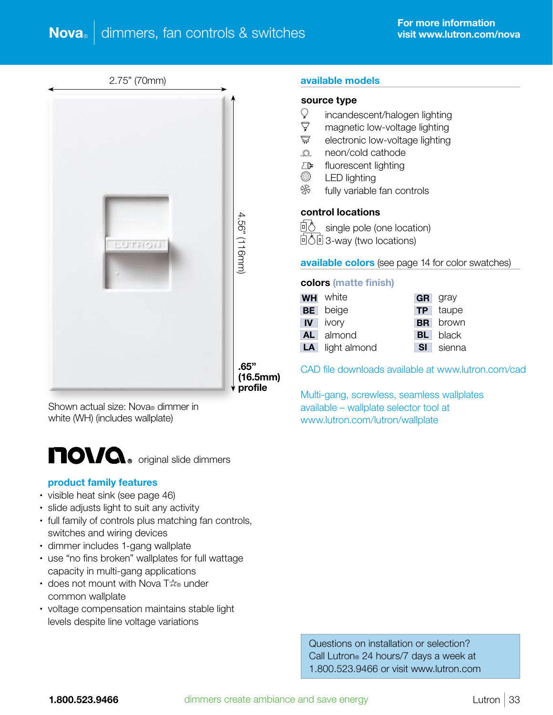2.75" (70mm)



Shown actual size: Nova® dimmer in white (WH) (includes wallplate)



#### product family features

- visible heat sink (see page 46)
- slide adjusts light to suit any activity
- full family of controls plus matching fan controls, switches and wiring devices
- dimmer includes 1-gang wallplate
- use "no fins broken" wallplates for full wattage capacity in multi-gang applications
- does not mount with Nova  $T\mathcal{R}_\infty$  under common wallplate
- voltage compensation maintains stable light levels despite line voltage variations

 Questions on installation or selection? Call Lutron® 24 hours/7 days a week at 1.800.523.9466 or visit www.lutron.com

#### available models

### source type

- $\mathcal{Q}$  incandescent/halogen lighting
- $\sqrt{7}$  magnetic low-voltage lighting
- $\overline{\nabla}$  electronic low-voltage lighting
- **Q** neon/cold cathode
- $\Sigma$  fluorescent lighting
- **S** LED lighting
- **※** fully variable fan controls

#### control locations

回<sup>心</sup> single pole (one location) **回春回 3-way (two locations)** 

#### available colors (see page 14 for color swatches)

#### colors (matte finish)

| <b>WH</b> white        |      | <b>GR</b> gray  |
|------------------------|------|-----------------|
| <b>BE</b> beige        |      | <b>TP</b> taupe |
| <b>IV</b> ivory        |      | <b>BR</b> brown |
| AL almond              |      | <b>BL</b> black |
| <b>LA</b> light almond | SI I | sienna          |

CAD file downloads available at www.lutron.com/cad

Multi-gang, screwless, seamless wallplates available – wallplate selector tool at www.lutron.com/lutron/wallplate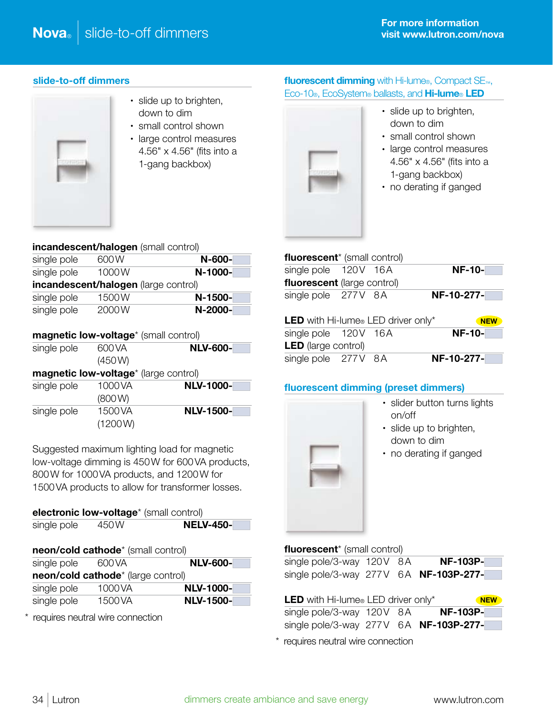### slide-to-off dimmers



- slide up to brighten, down to dim
- small control shown
- large control measures 4.56" x 4.56" (fits into a 1-gang backbox)

## fluorescent dimming with Hi-lume®, Compact SE<sub>™</sub>, Eco-10®, EcoSystem® ballasts, and Hi-lume® LED



- slide up to brighten, down to dim
- small control shown
- large control measures 4.56" x 4.56" (fits into a 1-gang backbox)
- no derating if ganged

|             | incandescent/halogen (small control) |           |
|-------------|--------------------------------------|-----------|
| single pole | 600 W                                | N-600-    |
| single pole | 1000W                                | N-1000-   |
|             | incandescent/halogen (large control) |           |
| single pole | 1500W                                | $N-1500-$ |
| single pole | 2000W                                | N-2000-   |
|             |                                      |           |

| magnetic low-voltage* (small control) |  |
|---------------------------------------|--|
|                                       |  |

| single pole | 600 VA | <b>NLV-600-</b> |
|-------------|--------|-----------------|
|             | (450W) |                 |

magnetic low-voltage\* (large control)

| single pole | 1000VA  | <b>NLV-1000-</b> |
|-------------|---------|------------------|
|             | (800W)  |                  |
| single pole | 1500 VA | <b>NLV-1500-</b> |
|             | (1200W) |                  |

Suggested maximum lighting load for magnetic low-voltage dimming is 450W for 600VA products, 800W for 1000VA products, and 1200W for 1500VA products to allow for transformer losses.

| electronic low-voltage* (small control) |                                    |                  |  |  |
|-----------------------------------------|------------------------------------|------------------|--|--|
| single pole                             | 450 W                              | <b>NELV-450-</b> |  |  |
|                                         | neon/cold cathode* (small control) |                  |  |  |
| single pole                             | 600 VA                             | <b>NLV-600-</b>  |  |  |
|                                         |                                    |                  |  |  |

| neon/cold cathode* (large control) |         |                  |  |
|------------------------------------|---------|------------------|--|
| single pole                        | 1000 VA | <b>NLV-1000-</b> |  |
| single pole                        | 1500 VA | <b>NLV-1500-</b> |  |

\* requires neutral wire connection

| <b>fluorescent</b> <sup>*</sup> (small control) |  |               |
|-------------------------------------------------|--|---------------|
| single pole 120V 16A                            |  | <b>NF-10-</b> |
| fluorescent (large control)                     |  |               |
| single pole 277V 8A                             |  | NF-10-277-    |
|                                                 |  |               |
| LED with Hi-lume® LED driver only*              |  | <b>NEW</b>    |
| single pole 120V 16A                            |  | <b>NF-10-</b> |
| <b>LED</b> (large control)                      |  |               |

### fluorescent dimming (preset dimmers)



- slider button turns lights on/off
- slide up to brighten, down to dim
- no derating if ganged

|  | fluorescent <sup>*</sup> (small control) |
|--|------------------------------------------|
|--|------------------------------------------|

| single pole/3-way 120V 8A              |  | <b>NF-103P-</b> |
|----------------------------------------|--|-----------------|
| single pole/3-way 277V 6A NF-103P-277- |  |                 |

| <b>LED</b> with Hi-lume <sup>®</sup> LED driver only* |  | <b>NEW</b>      |
|-------------------------------------------------------|--|-----------------|
| single pole/3-way 120V 8A                             |  | <b>NF-103P-</b> |
| single pole/3-way $277V$ 6A <b>NF-103P-277-</b>       |  |                 |

\* requires neutral wire connection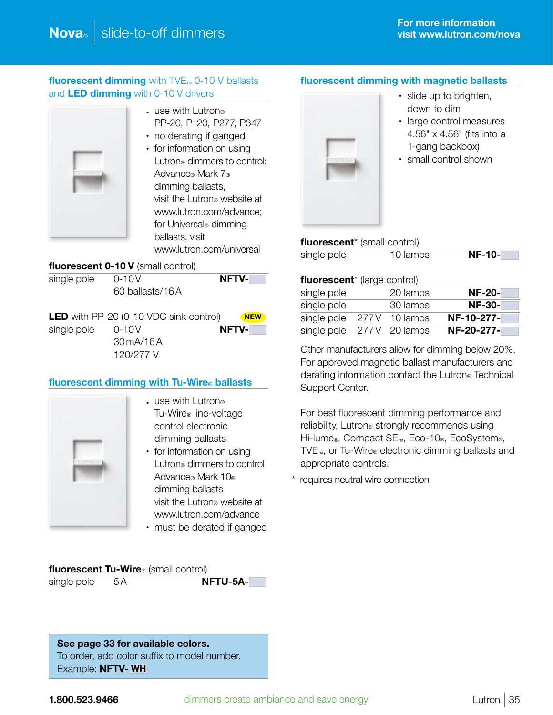# **fluorescent dimming** with  $\text{TVE}_{m}$  0-10 V ballasts and LED dimming with 0-10 V drivers



- $\cdot$  use with Lutron® PP-20, P120, P277, P347
- no derating if ganged
- for information on using Lutron® dimmers to control: Advance® Mark 7® dimming ballasts, visit the Lutron® website at www.lutron.com/advance; for Universal® dimming ballasts, visit www.lutron.com/universal

# fluorescent 0-10 V (small control)

| single pole | $0 - 10V$       | <b>NFTV-</b> |
|-------------|-----------------|--------------|
|             | 60 ballasts/16A |              |

| <b>LED</b> with PP-20 (0-10 VDC sink control) | <b>NEW</b>  |              |
|-----------------------------------------------|-------------|--------------|
| single pole                                   | $0 - 10V$   | <b>NFTV-</b> |
|                                               | 30 m A/16 A |              |
|                                               | 120/277 V   |              |

# fluorescent dimming with Tu-Wire® ballasts



- use with Lutron® Tu-Wire® line-voltage control electronic dimming ballasts
- for information on using Lutron® dimmers to control Advance® Mark 10® dimming ballasts visit the Lutron® website at www.lutron.com/advance
- must be derated if ganged

fluorescent Tu-Wire<sup>®</sup> (small control)

single pole 5A **NFTU-5A-**

## fluorescent dimming with magnetic ballasts



- slide up to brighten, down to dim
- large control measures 4.56" x 4.56" (fits into a 1-gang backbox)
- small control shown

| <b>fluorescent</b> <sup>*</sup> (small control) |          |          |  |
|-------------------------------------------------|----------|----------|--|
| single pole                                     | 10 lamps | $NF-10-$ |  |

#### fluorescent<sup>\*</sup> (large control)

| single pole |       | 20 lamps      | <b>NF-20-</b> |
|-------------|-------|---------------|---------------|
| single pole |       | 30 lamps      | $NF-30-$      |
| single pole | 277 V | 10 lamps      | NF-10-277-    |
| single pole |       | 277V 20 lamps | NF-20-277-    |

Other manufacturers allow for dimming below 20%. For approved magnetic ballast manufacturers and derating information contact the Lutron® Technical Support Center.

For best fluorescent dimming performance and reliability, Lutron® strongly recommends using Hi-lume<sub>®</sub>, Compact SE<sub>™</sub>, Eco-10®, EcoSystem®, TVE™, or Tu-Wire® electronic dimming ballasts and appropriate controls.

\* requires neutral wire connection

See page 33 for available colors. To order, add color suffix to model number. Example: NFTV- WH